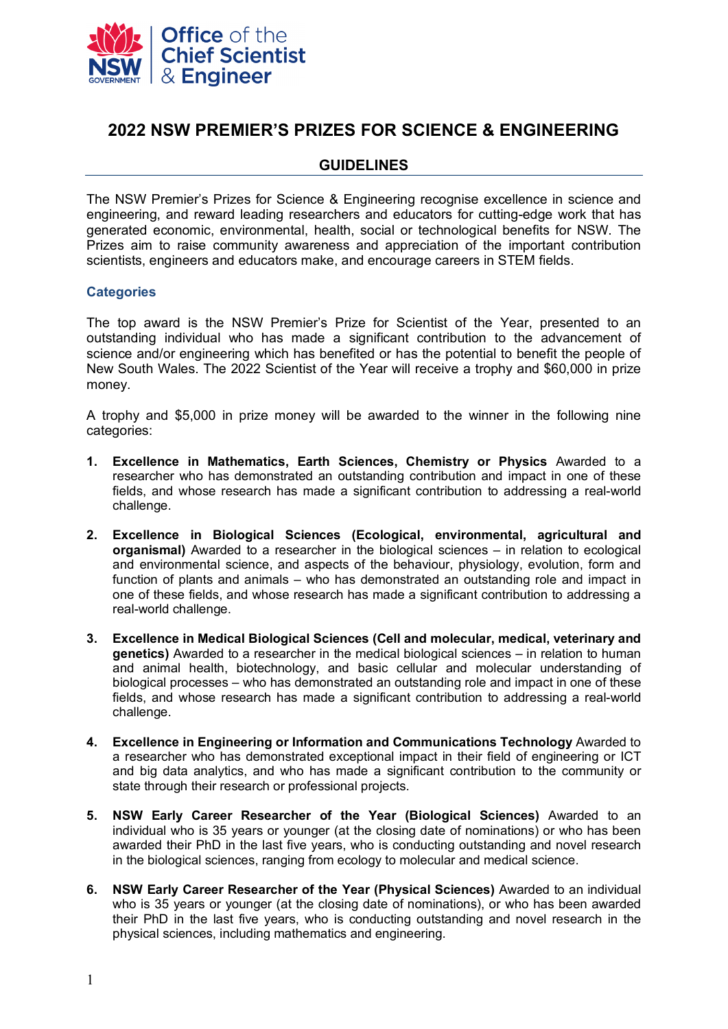

# **2022 NSW PREMIER'S PRIZES FOR SCIENCE & ENGINEERING**

# **GUIDELINES**

The NSW Premier's Prizes for Science & Engineering recognise excellence in science and engineering, and reward leading researchers and educators for cutting-edge work that has generated economic, environmental, health, social or technological benefits for NSW. The Prizes aim to raise community awareness and appreciation of the important contribution scientists, engineers and educators make, and encourage careers in STEM fields.

## **Categories**

The top award is the NSW Premier's Prize for Scientist of the Year, presented to an outstanding individual who has made a significant contribution to the advancement of science and/or engineering which has benefited or has the potential to benefit the people of New South Wales. The 2022 Scientist of the Year will receive a trophy and \$60,000 in prize money.

A trophy and \$5,000 in prize money will be awarded to the winner in the following nine categories:

- **1. Excellence in Mathematics, Earth Sciences, Chemistry or Physics** Awarded to a researcher who has demonstrated an outstanding contribution and impact in one of these fields, and whose research has made a significant contribution to addressing a real-world challenge.
- **2. Excellence in Biological Sciences (Ecological, environmental, agricultural and organismal)** Awarded to a researcher in the biological sciences – in relation to ecological and environmental science, and aspects of the behaviour, physiology, evolution, form and function of plants and animals – who has demonstrated an outstanding role and impact in one of these fields, and whose research has made a significant contribution to addressing a real-world challenge.
- **3. Excellence in Medical Biological Sciences (Cell and molecular, medical, veterinary and genetics)** Awarded to a researcher in the medical biological sciences – in relation to human and animal health, biotechnology, and basic cellular and molecular understanding of biological processes – who has demonstrated an outstanding role and impact in one of these fields, and whose research has made a significant contribution to addressing a real-world challenge.
- **4. Excellence in Engineering or Information and Communications Technology** Awarded to a researcher who has demonstrated exceptional impact in their field of engineering or ICT and big data analytics, and who has made a significant contribution to the community or state through their research or professional projects.
- **5. NSW Early Career Researcher of the Year (Biological Sciences)** Awarded to an individual who is 35 years or younger (at the closing date of nominations) or who has been awarded their PhD in the last five years, who is conducting outstanding and novel research in the biological sciences, ranging from ecology to molecular and medical science.
- **6. NSW Early Career Researcher of the Year (Physical Sciences)** Awarded to an individual who is 35 years or younger (at the closing date of nominations), or who has been awarded their PhD in the last five years, who is conducting outstanding and novel research in the physical sciences, including mathematics and engineering.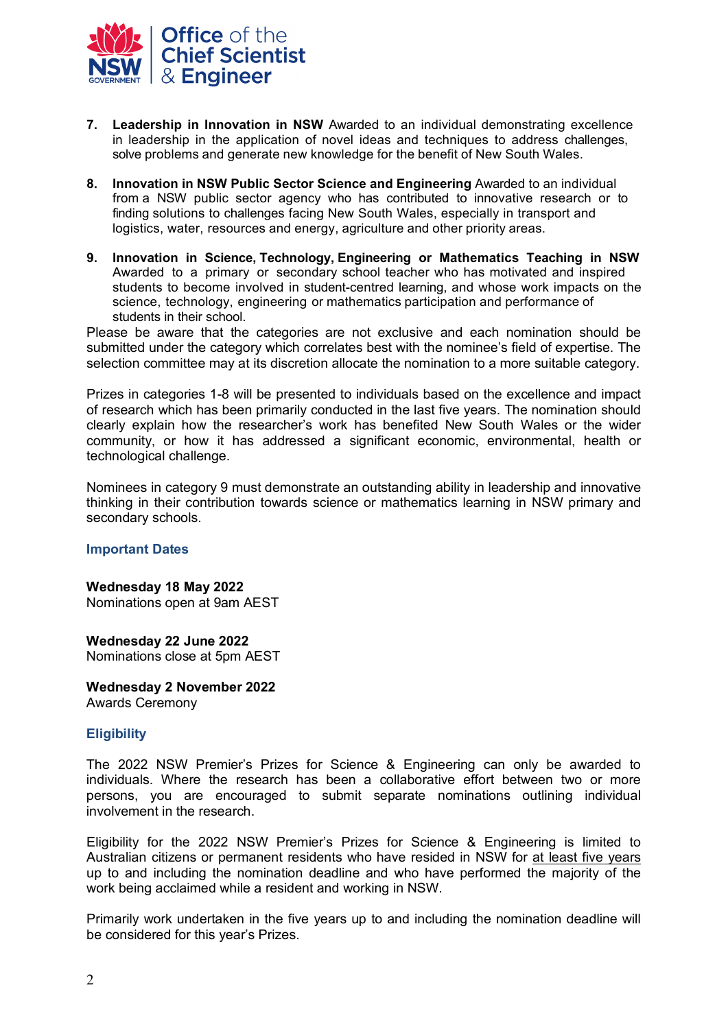

- **7. Leadership in Innovation in NSW** Awarded to an individual demonstrating excellence in leadership in the application of novel ideas and techniques to address challenges, solve problems and generate new knowledge for the benefit of New South Wales.
- **8. Innovation in NSW Public Sector Science and Engineering** Awarded to an individual from a NSW public sector agency who has contributed to innovative research or to finding solutions to challenges facing New South Wales, especially in transport and logistics, water, resources and energy, agriculture and other priority areas.
- **9. Innovation in Science, Technology, Engineering or Mathematics Teaching in NSW**  Awarded to a primary or secondary school teacher who has motivated and inspired students to become involved in student-centred learning, and whose work impacts on the science, technology, engineering or mathematics participation and performance of students in their school.

Please be aware that the categories are not exclusive and each nomination should be submitted under the category which correlates best with the nominee's field of expertise. The selection committee may at its discretion allocate the nomination to a more suitable category.

Prizes in categories 1-8 will be presented to individuals based on the excellence and impact of research which has been primarily conducted in the last five years. The nomination should clearly explain how the researcher's work has benefited New South Wales or the wider community, or how it has addressed a significant economic, environmental, health or technological challenge.

Nominees in category 9 must demonstrate an outstanding ability in leadership and innovative thinking in their contribution towards science or mathematics learning in NSW primary and secondary schools.

#### **Important Dates**

**Wednesday 18 May 2022**  Nominations open at 9am AEST

**Wednesday 22 June 2022**  Nominations close at 5pm AEST

**Wednesday 2 November 2022**  Awards Ceremony

# **Eligibility**

The 2022 NSW Premier's Prizes for Science & Engineering can only be awarded to individuals. Where the research has been a collaborative effort between two or more persons, you are encouraged to submit separate nominations outlining individual involvement in the research.

Eligibility for the 2022 NSW Premier's Prizes for Science & Engineering is limited to Australian citizens or permanent residents who have resided in NSW for at least five years up to and including the nomination deadline and who have performed the majority of the work being acclaimed while a resident and working in NSW.

Primarily work undertaken in the five years up to and including the nomination deadline will be considered for this year's Prizes.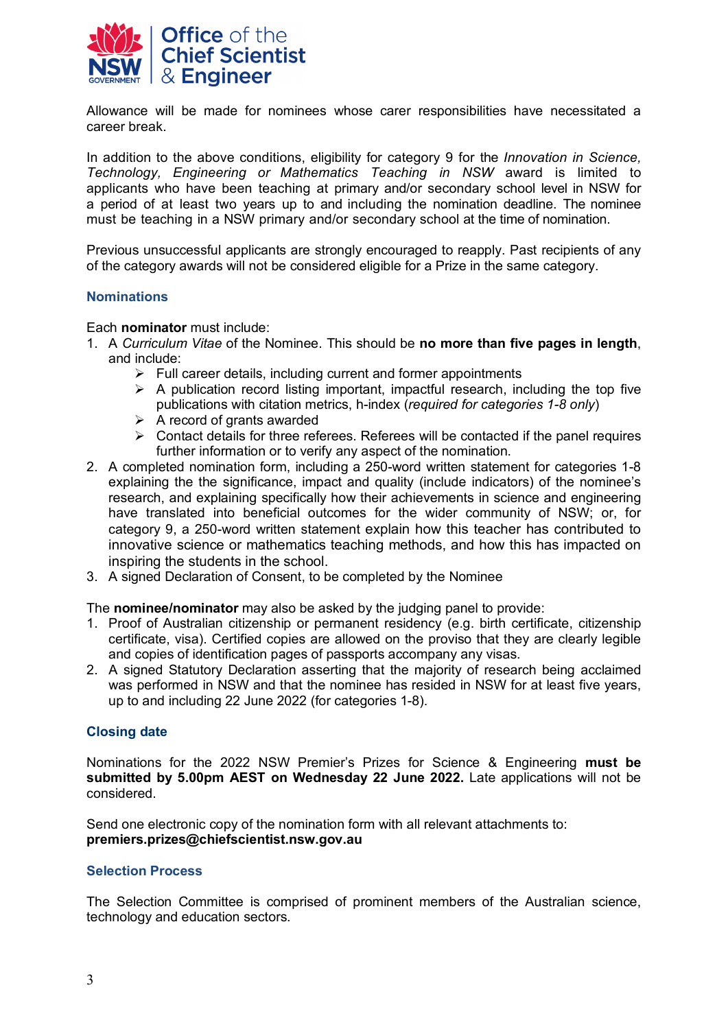

Allowance will be made for nominees whose carer responsibilities have necessitated a career break.

In addition to the above conditions, eligibility for category 9 for the *Innovation in Science, Technology, Engineering or Mathematics Teaching in NSW* award is limited to applicants who have been teaching at primary and/or secondary school level in NSW for a period of at least two years up to and including the nomination deadline. The nominee must be teaching in a NSW primary and/or secondary school at the time of nomination.

Previous unsuccessful applicants are strongly encouraged to reapply. Past recipients of any of the category awards will not be considered eligible for a Prize in the same category.

## **Nominations**

Each **nominator** must include:

- 1. A *Curriculum Vitae* of the Nominee. This should be **no more than five pages in length**, and include:
	- $\triangleright$  Full career details, including current and former appointments
	- $\triangleright$  A publication record listing important, impactful research, including the top five publications with citation metrics, h-index (*required for categories 1-8 only*)
	- $\triangleright$  A record of grants awarded
	- $\triangleright$  Contact details for three referees. Referees will be contacted if the panel requires further information or to verify any aspect of the nomination.
- 2. A completed nomination form, including a 250-word written statement for categories 1-8 explaining the the significance, impact and quality (include indicators) of the nominee's research, and explaining specifically how their achievements in science and engineering have translated into beneficial outcomes for the wider community of NSW; or, for category 9, a 250-word written statement explain how this teacher has contributed to innovative science or mathematics teaching methods, and how this has impacted on inspiring the students in the school.
- 3. A signed Declaration of Consent, to be completed by the Nominee

The **nominee/nominator** may also be asked by the judging panel to provide:

- 1. Proof of Australian citizenship or permanent residency (e.g. birth certificate, citizenship certificate, visa). Certified copies are allowed on the proviso that they are clearly legible and copies of identification pages of passports accompany any visas.
- 2. A signed Statutory Declaration asserting that the majority of research being acclaimed was performed in NSW and that the nominee has resided in NSW for at least five years, up to and including 22 June 2022 (for categories 1-8).

# **Closing date**

Nominations for the 2022 NSW Premier's Prizes for Science & Engineering **must be submitted by 5.00pm AEST on Wednesday 22 June 2022.** Late applications will not be considered.

Send one electronic copy of the nomination form with all relevant attachments to: **[premiers.prizes@chiefscientist.nsw.gov.au](mailto:premiers.prizes@chiefscientist.nsw.gov.au)** 

#### **Selection Process**

The Selection Committee is comprised of prominent members of the Australian science, technology and education sectors.